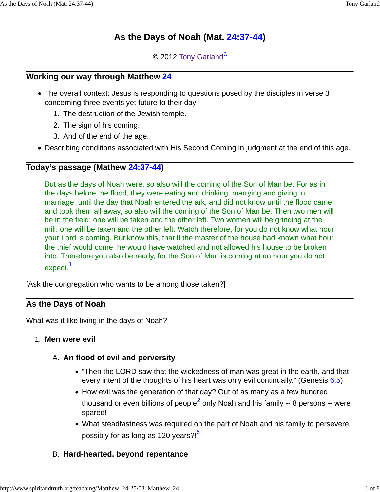# **As the Days of Noah (Mat. 24:37-44)**

© 2012 Tony Garland<sup>a</sup>

## **Working our way through Matthew 24**

- The overall context: Jesus is responding to questions posed by the disciples in verse 3 concerning three events yet future to their day
	- 1. The destruction of the Jewish temple.
	- 2. The sign of his coming.
	- 3. And of the end of the age.
- Describing conditions associated with His Second Coming in judgment at the end of this age.

## **Today's passage (Mathew 24:37-44)**

But as the days of Noah were, so also will the coming of the Son of Man be. For as in the days before the flood, they were eating and drinking, marrying and giving in marriage, until the day that Noah entered the ark, and did not know until the flood came and took them all away, so also will the coming of the Son of Man be. Then two men will be in the field: one will be taken and the other left. Two women will be grinding at the mill: one will be taken and the other left. Watch therefore, for you do not know what hour your Lord is coming. But know this, that if the master of the house had known what hour the thief would come, he would have watched and not allowed his house to be broken into. Therefore you also be ready, for the Son of Man is coming at an hour you do not expect.<sup>1</sup>

[Ask the congregation who wants to be among those taken?]

## **As the Days of Noah**

What was it like living in the days of Noah?

## 1. **Men were evil**

## A. An flood of evil and perversity

- "Then the LORD saw that the wickedness of man was great in the earth, and that every intent of the thoughts of his heart was only evil continually." (Genesis 6:5)
- How evil was the generation of that day? Out of as many as a few hundred thousand or even billions of people $^{\mathsf{2}}$  only Noah and his family -- 8 persons -- were spared!
- What steadfastness was required on the part of Noah and his family to persevere, possibly for as long as 120 years?!<sup>5</sup>

## B. **Hard-hearted, beyond repentance**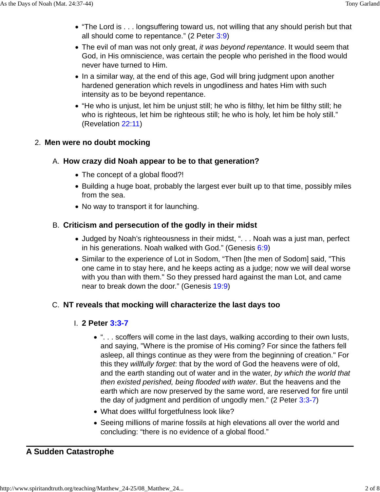- "The Lord is . . . longsuffering toward us, not willing that any should perish but that all should come to repentance." (2 Peter 3:9)
- The evil of man was not only great, it was beyond repentance. It would seem that God, in His omniscience, was certain the people who perished in the flood would never have turned to Him.
- In a similar way, at the end of this age, God will bring judgment upon another hardened generation which revels in ungodliness and hates Him with such intensity as to be beyond repentance.
- "He who is unjust, let him be unjust still; he who is filthy, let him be filthy still; he who is righteous, let him be righteous still; he who is holy, let him be holy still." (Revelation 22:11)

#### 2. **Men were no doubt mocking**

#### **How crazy did Noah appear to be to that generation?** A.

- The concept of a global flood?!
- Building a huge boat, probably the largest ever built up to that time, possibly miles from the sea.
- No way to transport it for launching.

#### **Criticism and persecution of the godly in their midst** B.

- Judged by Noah's righteousness in their midst, ". . . Noah was a just man, perfect in his generations. Noah walked with God." (Genesis  $6:9$ )
- Similar to the experience of Lot in Sodom, "Then [the men of Sodom] said, "This one came in to stay here, and he keeps acting as a judge; now we will deal worse with you than with them." So they pressed hard against the man Lot, and came near to break down the door." (Genesis 19:9)

#### C. **NT reveals that mocking will characterize the last days too**

#### **2 Peter 3:3-7** I.

- ". . . scoffers will come in the last days, walking according to their own lusts, and saying, "Where is the promise of His coming? For since the fathers fell asleep, all things continue as they were from the beginning of creation." For this they willfully forget: that by the word of God the heavens were of old, and the earth standing out of water and in the water, by which the world that then existed perished, being flooded with water. But the heavens and the earth which are now preserved by the same word, are reserved for fire until the day of judgment and perdition of ungodly men."  $(2$  Peter  $3:3-7)$
- What does willful forgetfulness look like?
- Seeing millions of marine fossils at high elevations all over the world and concluding: "there is no evidence of a global flood."

#### **A Sudden Catastrophe**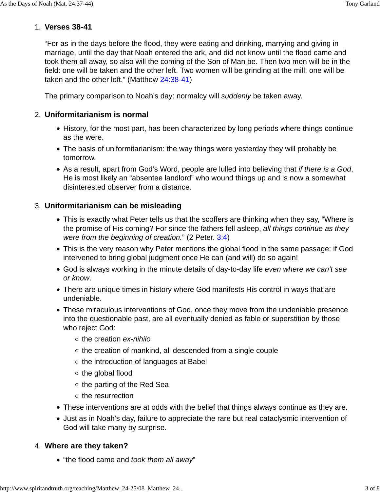## **Verses 38-41** 1.

"For as in the days before the flood, they were eating and drinking, marrying and giving in marriage, until the day that Noah entered the ark, and did not know until the flood came and took them all away, so also will the coming of the Son of Man be. Then two men will be in the field: one will be taken and the other left. Two women will be grinding at the mill: one will be taken and the other left." (Matthew 24:38-41)

The primary comparison to Noah's day: normalcy will suddenly be taken away.

## **Uniformitarianism is normal** 2.

- History, for the most part, has been characterized by long periods where things continue as the were.
- The basis of uniformitarianism: the way things were yesterday they will probably be tomorrow.
- As a result, apart from God's Word, people are lulled into believing that if there is a God, He is most likely an "absentee landlord" who wound things up and is now a somewhat disinterested observer from a distance.

## **Uniformitarianism can be misleading** 3.

- This is exactly what Peter tells us that the scoffers are thinking when they say, "Where is the promise of His coming? For since the fathers fell asleep, all things continue as they were from the beginning of creation." (2 Peter. 3:4)
- This is the very reason why Peter mentions the global flood in the same passage: if God intervened to bring global judgment once He can (and will) do so again!
- God is always working in the minute details of day-to-day life even where we can't see or know.
- There are unique times in history where God manifests His control in ways that are undeniable.
- These miraculous interventions of God, once they move from the undeniable presence into the questionable past, are all eventually denied as fable or superstition by those who reject God:
	- $\circ$  the creation ex-nihilo
	- $\circ$  the creation of mankind, all descended from a single couple
	- $\circ$  the introduction of languages at Babel
	- $\circ$  the global flood
	- $\circ$  the parting of the Red Sea
	- $\circ$  the resurrection
- These interventions are at odds with the belief that things always continue as they are.
- Just as in Noah's day, failure to appreciate the rare but real cataclysmic intervention of God will take many by surprise.

## **Where are they taken?** 4.

• "the flood came and took them all away"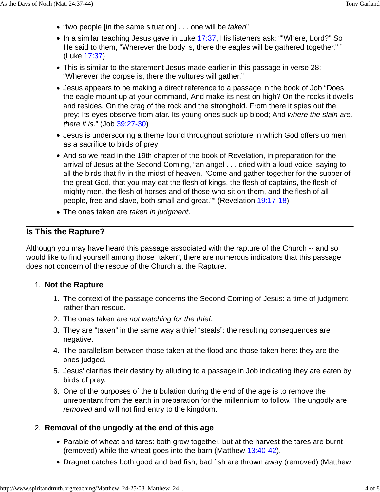- "two people [in the same situation] . . . one will be taken"
- In a similar teaching Jesus gave in Luke 17:37, His listeners ask: ""Where, Lord?" So He said to them, "Wherever the body is, there the eagles will be gathered together." " (Luke 17:37)
- This is similar to the statement Jesus made earlier in this passage in verse 28: "Wherever the corpse is, there the vultures will gather."
- Jesus appears to be making a direct reference to a passage in the book of Job "Does the eagle mount up at your command, And make its nest on high? On the rocks it dwells and resides, On the crag of the rock and the stronghold. From there it spies out the prey; Its eyes observe from afar. Its young ones suck up blood; And where the slain are, there it is." (Job 39:27-30)
- Jesus is underscoring a theme found throughout scripture in which God offers up men as a sacrifice to birds of prey
- And so we read in the 19th chapter of the book of Revelation, in preparation for the arrival of Jesus at the Second Coming, "an angel . . . cried with a loud voice, saying to all the birds that fly in the midst of heaven, "Come and gather together for the supper of the great God, that you may eat the flesh of kings, the flesh of captains, the flesh of mighty men, the flesh of horses and of those who sit on them, and the flesh of all people, free and slave, both small and great."" (Revelation 19:17-18)
- The ones taken are taken in judgment.

## **Is This the Rapture?**

Although you may have heard this passage associated with the rapture of the Church -- and so would like to find yourself among those "taken", there are numerous indicators that this passage does not concern of the rescue of the Church at the Rapture.

## **Not the Rapture** 1.

- 1. The context of the passage concerns the Second Coming of Jesus: a time of judgment rather than rescue.
- 2. The ones taken are not watching for the thief.
- They are "taken" in the same way a thief "steals": the resulting consequences are 3. negative.
- The parallelism between those taken at the flood and those taken here: they are the 4. ones judged.
- 5. Jesus' clarifies their destiny by alluding to a passage in Job indicating they are eaten by birds of prey.
- 6. One of the purposes of the tribulation during the end of the age is to remove the unrepentant from the earth in preparation for the millennium to follow. The ungodly are removed and will not find entry to the kingdom.

## **Removal of the ungodly at the end of this age** 2.

- Parable of wheat and tares: both grow together, but at the harvest the tares are burnt (removed) while the wheat goes into the barn (Matthew 13:40-42).
- Dragnet catches both good and bad fish, bad fish are thrown away (removed) (Matthew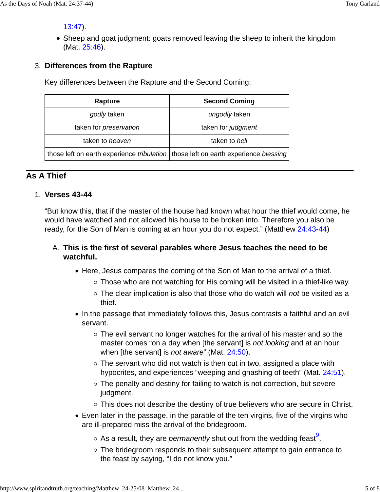13:47).

• Sheep and goat judgment: goats removed leaving the sheep to inherit the kingdom (Mat. 25:46).

## **Differences from the Rapture** 3.

Key differences between the Rapture and the Second Coming:

| Rapture                                                                                            | <b>Second Coming</b> |
|----------------------------------------------------------------------------------------------------|----------------------|
| godly taken                                                                                        | ungodly taken        |
| taken for <i>preservation</i>                                                                      | taken for judgment   |
| taken to heaven                                                                                    | taken to hell        |
| those left on earth experience <i>tribulation</i>   those left on earth experience <i>blessing</i> |                      |

## **As A Thief**

## **Verses 43-44** 1.

"But know this, that if the master of the house had known what hour the thief would come, he would have watched and not allowed his house to be broken into. Therefore you also be ready, for the Son of Man is coming at an hour you do not expect." (Matthew 24:43-44)

## **This is the first of several parables where Jesus teaches the need to be** A. **watchful.**

- Here, Jesus compares the coming of the Son of Man to the arrival of a thief.
	- Those who are not watching for His coming will be visited in a thief-like way.
	- $\circ$  The clear implication is also that those who do watch will not be visited as a thief.
- In the passage that immediately follows this, Jesus contrasts a faithful and an evil servant.
	- The evil servant no longer watches for the arrival of his master and so the master comes "on a day when [the servant] is not looking and at an hour when [the servant] is *not aware*" (Mat. 24:50).
	- $\circ$  The servant who did not watch is then cut in two, assigned a place with hypocrites, and experiences "weeping and gnashing of teeth" (Mat. 24:51).
	- The penalty and destiny for failing to watch is not correction, but severe judgment.
	- This does not describe the destiny of true believers who are secure in Christ.
- Even later in the passage, in the parable of the ten virgins, five of the virgins who are ill-prepared miss the arrival of the bridegroom.
	- As a result, they are *permanently* shut out from the wedding feast<sup>9</sup>.
	- The bridegroom responds to their subsequent attempt to gain entrance to the feast by saying, "I do not know you."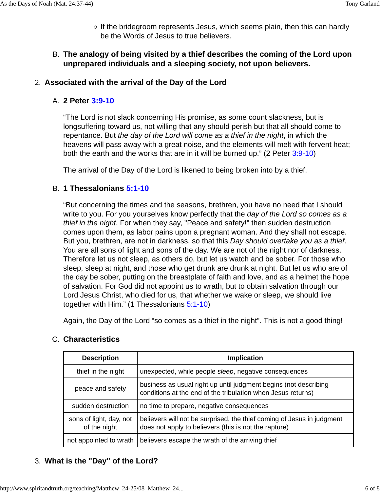$\circ$  If the bridegroom represents Jesus, which seems plain, then this can hardly be the Words of Jesus to true believers.

## **The analogy of being visited by a thief describes the coming of the Lord upon** B. **unprepared individuals and a sleeping society, not upon believers.**

#### 2. **Associated with the arrival of the Day of the Lord**

#### **2 Peter 3:9-10** A.

"The Lord is not slack concerning His promise, as some count slackness, but is longsuffering toward us, not willing that any should perish but that all should come to repentance. But the day of the Lord will come as a thief in the night, in which the heavens will pass away with a great noise, and the elements will melt with fervent heat; both the earth and the works that are in it will be burned up." (2 Peter 3:9-10)

The arrival of the Day of the Lord is likened to being broken into by a thief.

#### **1 Thessalonians 5:1-10** B.

"But concerning the times and the seasons, brethren, you have no need that I should write to you. For you yourselves know perfectly that the day of the Lord so comes as a thief in the night. For when they say, "Peace and safety!" then sudden destruction comes upon them, as labor pains upon a pregnant woman. And they shall not escape. But you, brethren, are not in darkness, so that this Day should overtake you as a thief. You are all sons of light and sons of the day. We are not of the night nor of darkness. Therefore let us not sleep, as others do, but let us watch and be sober. For those who sleep, sleep at night, and those who get drunk are drunk at night. But let us who are of the day be sober, putting on the breastplate of faith and love, and as a helmet the hope of salvation. For God did not appoint us to wrath, but to obtain salvation through our Lord Jesus Christ, who died for us, that whether we wake or sleep, we should live together with Him." (1 Thessalonians 5:1-10)

Again, the Day of the Lord "so comes as a thief in the night". This is not a good thing!

| <b>Description</b>                      | Implication                                                                                                                      |
|-----------------------------------------|----------------------------------------------------------------------------------------------------------------------------------|
| thief in the night                      | unexpected, while people sleep, negative consequences                                                                            |
| peace and safety                        | business as usual right up until judgment begins (not describing<br>conditions at the end of the tribulation when Jesus returns) |
| sudden destruction                      | no time to prepare, negative consequences                                                                                        |
| sons of light, day, not<br>of the night | believers will not be surprised, the thief coming of Jesus in judgment<br>does not apply to believers (this is not the rapture)  |
| not appointed to wrath                  | believers escape the wrath of the arriving thief                                                                                 |

#### C. Characteristics

## 3. **What is the "Day" of the Lord?**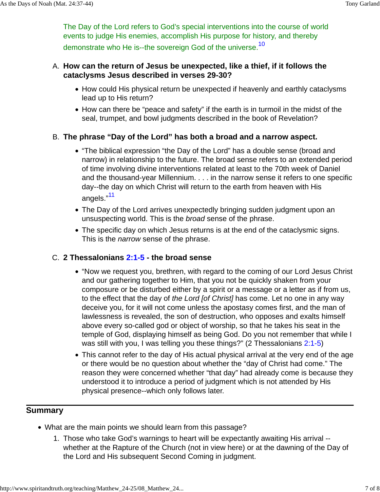The Day of the Lord refers to God's special interventions into the course of world events to judge His enemies, accomplish His purpose for history, and thereby demonstrate who He is--the sovereign God of the universe.<sup>10</sup>

#### **How can the return of Jesus be unexpected, like a thief, if it follows the** A. **cataclysms Jesus described in verses 29-30?**

- How could His physical return be unexpected if heavenly and earthly cataclysms lead up to His return?
- How can there be "peace and safety" if the earth is in turmoil in the midst of the seal, trumpet, and bowl judgments described in the book of Revelation?

## **The phrase "Day of the Lord" has both a broad and a narrow aspect.** B.

- "The biblical expression "the Day of the Lord" has a double sense (broad and narrow) in relationship to the future. The broad sense refers to an extended period of time involving divine interventions related at least to the 70th week of Daniel and the thousand-year Millennium. . . . in the narrow sense it refers to one specific day--the day on which Christ will return to the earth from heaven with His angels."<sup>11</sup>
- The Day of the Lord arrives unexpectedly bringing sudden judgment upon an unsuspecting world. This is the broad sense of the phrase.
- The specific day on which Jesus returns is at the end of the cataclysmic signs. This is the *narrow* sense of the phrase.

## **2 Thessalonians 2:1-5 - the broad sense** C.

- "Now we request you, brethren, with regard to the coming of our Lord Jesus Christ and our gathering together to Him, that you not be quickly shaken from your composure or be disturbed either by a spirit or a message or a letter as if from us, to the effect that the day of the Lord [of Christ] has come. Let no one in any way deceive you, for it will not come unless the apostasy comes first, and the man of lawlessness is revealed, the son of destruction, who opposes and exalts himself above every so-called god or object of worship, so that he takes his seat in the temple of God, displaying himself as being God. Do you not remember that while I was still with you, I was telling you these things?" (2 Thessalonians 2:1-5)
- This cannot refer to the day of His actual physical arrival at the very end of the age or there would be no question about whether the "day of Christ had come." The reason they were concerned whether "that day" had already come is because they understood it to introduce a period of judgment which is not attended by His physical presence--which only follows later.

## **Summary**

- What are the main points we should learn from this passage?
	- 1. Those who take God's warnings to heart will be expectantly awaiting His arrival -whether at the Rapture of the Church (not in view here) or at the dawning of the Day of the Lord and His subsequent Second Coming in judgment.